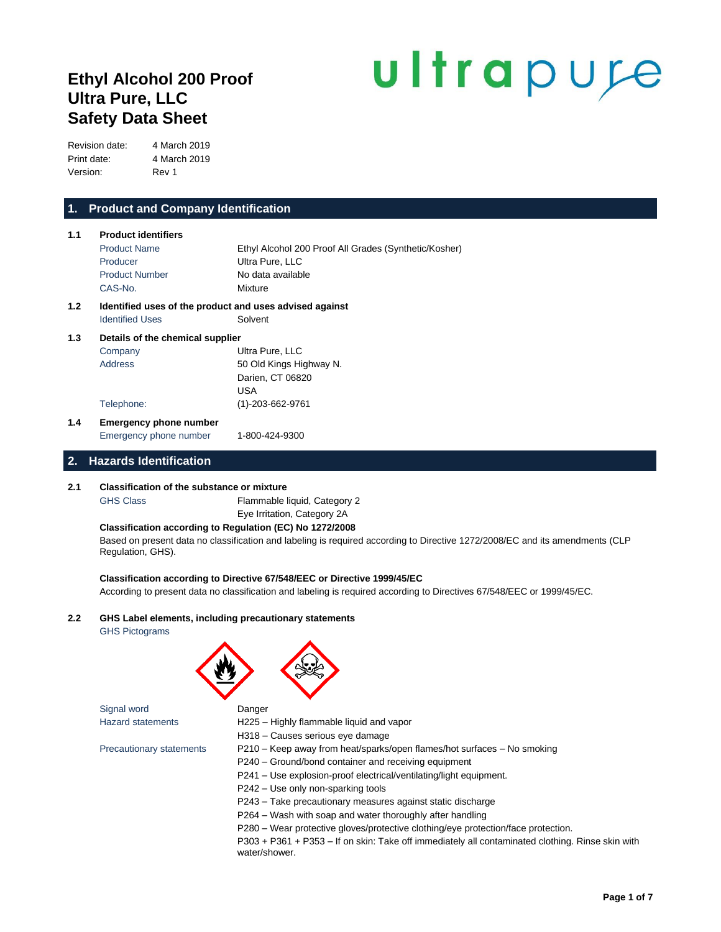# **Ethyl Alcohol 200 Proof Ultra Pure, LLC Safety Data Sheet**

# ultrapure

Revision date: 4 March 2019 Print date: 4 March 2019 Version: Rev 1

# **1. Product and Company Identification**

| 1.1 | <b>Product identifiers</b>                                                        |                                                       |
|-----|-----------------------------------------------------------------------------------|-------------------------------------------------------|
|     | <b>Product Name</b>                                                               | Ethyl Alcohol 200 Proof All Grades (Synthetic/Kosher) |
|     | Producer                                                                          | Ultra Pure, LLC                                       |
|     | <b>Product Number</b>                                                             | No data available                                     |
|     | CAS-No.                                                                           | Mixture                                               |
| 1.2 | Identified uses of the product and uses advised against<br><b>Identified Uses</b> | Solvent                                               |
| 1.3 | Details of the chemical supplier                                                  |                                                       |
|     | Company                                                                           | Ultra Pure, LLC                                       |
|     | Address                                                                           | 50 Old Kings Highway N.                               |
|     |                                                                                   | Darien, CT 06820                                      |
|     |                                                                                   | <b>USA</b>                                            |

# **1.4 Emergency phone number** Emergency phone number 1-800-424-9300

Telephone: (1)-203-662-9761

## **2. Hazards Identification**

## **2.1 Classification of the substance or mixture**

GHS Class Flammable liquid, Category 2 Eye Irritation, Category 2A

## **Classification according to Regulation (EC) No 1272/2008**

Based on present data no classification and labeling is required according to Directive 1272/2008/EC and its amendments (CLP Regulation, GHS).

## **Classification according to Directive 67/548/EEC or Directive 1999/45/EC**

According to present data no classification and labeling is required according to Directives 67/548/EEC or 1999/45/EC.

## **2.2 GHS Label elements, including precautionary statements**

GHS Pictograms



Signal word **Danger** 

- Hazard statements H225 Highly flammable liquid and vapor
	- H318 Causes serious eye damage

- Precautionary statements P210 Keep away from heat/sparks/open flames/hot surfaces No smoking
	- P240 Ground/bond container and receiving equipment
	- P241 Use explosion-proof electrical/ventilating/light equipment.
	- P242 Use only non-sparking tools
	- P243 Take precautionary measures against static discharge

P264 – Wash with soap and water thoroughly after handling

P280 – Wear protective gloves/protective clothing/eye protection/face protection.

P303 + P361 + P353 – If on skin: Take off immediately all contaminated clothing. Rinse skin with water/shower.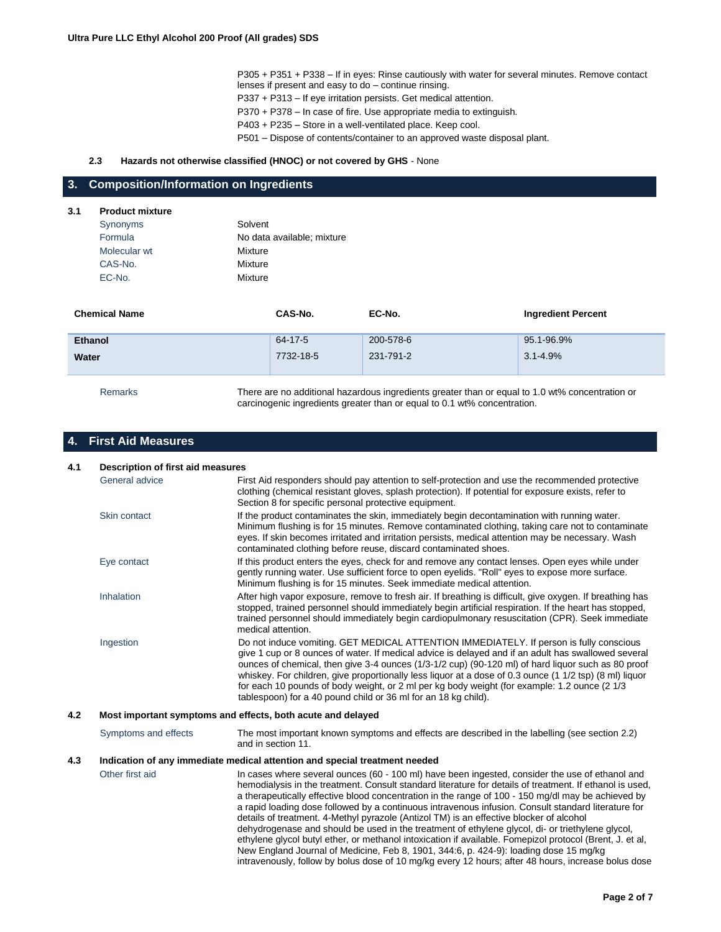P305 + P351 + P338 – If in eyes: Rinse cautiously with water for several minutes. Remove contact lenses if present and easy to do – continue rinsing.

P337 + P313 – If eye irritation persists. Get medical attention.

P370 + P378 – In case of fire. Use appropriate media to extinguish.

P403 + P235 – Store in a well-ventilated place. Keep cool.

P501 – Dispose of contents/container to an approved waste disposal plant.

## **2.3 Hazards not otherwise classified (HNOC) or not covered by GHS** - None

## **3. Composition/Information on Ingredients**

## **3.1 Product mixture**

| Synonyms     | Solvent                    |
|--------------|----------------------------|
| Formula      | No data available: mixture |
| Molecular wt | Mixture                    |
| CAS-No.      | Mixture                    |
| EC-No.       | Mixture                    |

| <b>Chemical Name</b> | CAS-No.   | EC-No.    | <b>Ingredient Percent</b> |
|----------------------|-----------|-----------|---------------------------|
| <b>Ethanol</b>       | 64-17-5   | 200-578-6 | 95.1-96.9%                |
| Water                | 7732-18-5 | 231-791-2 | $3.1 - 4.9\%$             |
|                      |           |           |                           |

Remarks There are no additional hazardous ingredients greater than or equal to 1.0 wt% concentration or carcinogenic ingredients greater than or equal to 0.1 wt% concentration.

# **4. First Aid Measures**

| 4.1<br>Description of first aid measures |                                                                                                                                                                                                                                                                                                                                                                                                                                                                                                                                                                                                                                                                                                                                                                                                                                                                                                                                     |
|------------------------------------------|-------------------------------------------------------------------------------------------------------------------------------------------------------------------------------------------------------------------------------------------------------------------------------------------------------------------------------------------------------------------------------------------------------------------------------------------------------------------------------------------------------------------------------------------------------------------------------------------------------------------------------------------------------------------------------------------------------------------------------------------------------------------------------------------------------------------------------------------------------------------------------------------------------------------------------------|
| General advice                           | First Aid responders should pay attention to self-protection and use the recommended protective<br>clothing (chemical resistant gloves, splash protection). If potential for exposure exists, refer to<br>Section 8 for specific personal protective equipment.                                                                                                                                                                                                                                                                                                                                                                                                                                                                                                                                                                                                                                                                     |
| Skin contact                             | If the product contaminates the skin, immediately begin decontamination with running water.<br>Minimum flushing is for 15 minutes. Remove contaminated clothing, taking care not to contaminate<br>eyes. If skin becomes irritated and irritation persists, medical attention may be necessary. Wash<br>contaminated clothing before reuse, discard contaminated shoes.                                                                                                                                                                                                                                                                                                                                                                                                                                                                                                                                                             |
| Eye contact                              | If this product enters the eyes, check for and remove any contact lenses. Open eyes while under<br>gently running water. Use sufficient force to open eyelids. "Roll" eyes to expose more surface.<br>Minimum flushing is for 15 minutes. Seek immediate medical attention.                                                                                                                                                                                                                                                                                                                                                                                                                                                                                                                                                                                                                                                         |
| Inhalation                               | After high vapor exposure, remove to fresh air. If breathing is difficult, give oxygen. If breathing has<br>stopped, trained personnel should immediately begin artificial respiration. If the heart has stopped,<br>trained personnel should immediately begin cardiopulmonary resuscitation (CPR). Seek immediate<br>medical attention.                                                                                                                                                                                                                                                                                                                                                                                                                                                                                                                                                                                           |
| Ingestion                                | Do not induce vomiting. GET MEDICAL ATTENTION IMMEDIATELY. If person is fully conscious<br>give 1 cup or 8 ounces of water. If medical advice is delayed and if an adult has swallowed several<br>ounces of chemical, then give 3-4 ounces (1/3-1/2 cup) (90-120 ml) of hard liquor such as 80 proof<br>whiskey. For children, give proportionally less liguor at a dose of 0.3 ounce (1 1/2 tsp) (8 ml) liguor<br>for each 10 pounds of body weight, or 2 ml per kg body weight (for example: 1.2 ounce (2 1/3<br>tablespoon) for a 40 pound child or 36 ml for an 18 kg child).                                                                                                                                                                                                                                                                                                                                                   |
|                                          | Most important symptoms and effects, both acute and delayed                                                                                                                                                                                                                                                                                                                                                                                                                                                                                                                                                                                                                                                                                                                                                                                                                                                                         |
| Symptoms and effects                     | The most important known symptoms and effects are described in the labelling (see section 2.2)<br>and in section 11.                                                                                                                                                                                                                                                                                                                                                                                                                                                                                                                                                                                                                                                                                                                                                                                                                |
|                                          | Indication of any immediate medical attention and special treatment needed                                                                                                                                                                                                                                                                                                                                                                                                                                                                                                                                                                                                                                                                                                                                                                                                                                                          |
| Other first aid                          | In cases where several ounces (60 - 100 ml) have been ingested, consider the use of ethanol and<br>hemodialysis in the treatment. Consult standard literature for details of treatment. If ethanol is used,<br>a therapeutically effective blood concentration in the range of 100 - 150 mg/dl may be achieved by<br>a rapid loading dose followed by a continuous intravenous infusion. Consult standard literature for<br>details of treatment. 4-Methyl pyrazole (Antizol TM) is an effective blocker of alcohol<br>dehydrogenase and should be used in the treatment of ethylene glycol, di- or triethylene glycol,<br>ethylene glycol butyl ether, or methanol intoxication if available. Fomepizol protocol (Brent, J. et al,<br>New England Journal of Medicine, Feb 8, 1901, 344:6, p. 424-9): loading dose 15 mg/kg<br>intravenously, follow by bolus dose of 10 mg/kg every 12 hours; after 48 hours, increase bolus dose |
|                                          |                                                                                                                                                                                                                                                                                                                                                                                                                                                                                                                                                                                                                                                                                                                                                                                                                                                                                                                                     |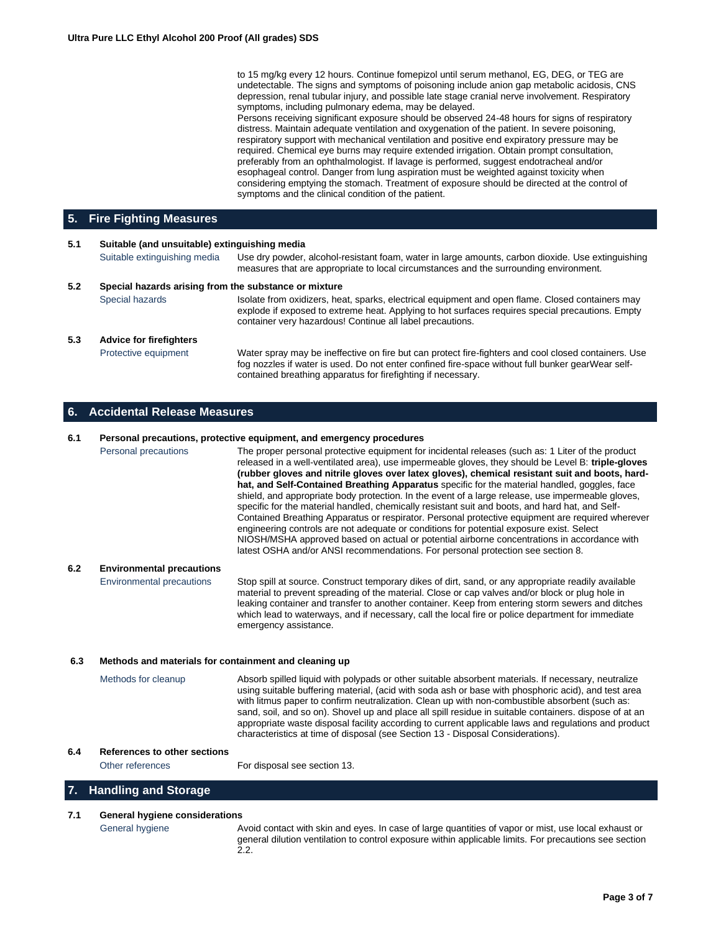to 15 mg/kg every 12 hours. Continue fomepizol until serum methanol, EG, DEG, or TEG are undetectable. The signs and symptoms of poisoning include anion gap metabolic acidosis, CNS depression, renal tubular injury, and possible late stage cranial nerve involvement. Respiratory symptoms, including pulmonary edema, may be delayed.

Persons receiving significant exposure should be observed 24-48 hours for signs of respiratory distress. Maintain adequate ventilation and oxygenation of the patient. In severe poisoning, respiratory support with mechanical ventilation and positive end expiratory pressure may be required. Chemical eye burns may require extended irrigation. Obtain prompt consultation, preferably from an ophthalmologist. If lavage is performed, suggest endotracheal and/or esophageal control. Danger from lung aspiration must be weighted against toxicity when considering emptying the stomach. Treatment of exposure should be directed at the control of symptoms and the clinical condition of the patient.

## **5. Fire Fighting Measures**

| 5.1                                                          | Suitable (and unsuitable) extinguishing media |                                                                                                                                                                                                                                                                           |  |
|--------------------------------------------------------------|-----------------------------------------------|---------------------------------------------------------------------------------------------------------------------------------------------------------------------------------------------------------------------------------------------------------------------------|--|
|                                                              | Suitable extinguishing media                  | Use dry powder, alcohol-resistant foam, water in large amounts, carbon dioxide. Use extinguishing<br>measures that are appropriate to local circumstances and the surrounding environment.                                                                                |  |
| 5.2<br>Special hazards arising from the substance or mixture |                                               |                                                                                                                                                                                                                                                                           |  |
|                                                              | Special hazards                               | Isolate from oxidizers, heat, sparks, electrical equipment and open flame. Closed containers may<br>explode if exposed to extreme heat. Applying to hot surfaces requires special precautions. Empty<br>container very hazardous! Continue all label precautions.         |  |
| 5.3                                                          | <b>Advice for firefighters</b>                |                                                                                                                                                                                                                                                                           |  |
|                                                              | Protective equipment                          | Water spray may be ineffective on fire but can protect fire-fighters and cool closed containers. Use<br>fog nozzles if water is used. Do not enter confined fire-space without full bunker gearWear self-<br>contained breathing apparatus for firefighting if necessary. |  |

## **6. Accidental Release Measures**

## **6.1 Personal precautions, protective equipment, and emergency procedures**

Personal precautions The proper personal protective equipment for incidental releases (such as: 1 Liter of the product released in a well-ventilated area), use impermeable gloves, they should be Level B: **triple-gloves (rubber gloves and nitrile gloves over latex gloves), chemical resistant suit and boots, hardhat, and Self-Contained Breathing Apparatus** specific for the material handled, goggles, face shield, and appropriate body protection. In the event of a large release, use impermeable gloves, specific for the material handled, chemically resistant suit and boots, and hard hat, and Self-Contained Breathing Apparatus or respirator. Personal protective equipment are required wherever engineering controls are not adequate or conditions for potential exposure exist. Select NIOSH/MSHA approved based on actual or potential airborne concentrations in accordance with latest OSHA and/or ANSI recommendations. For personal protection see section 8.

## **6.2 Environmental precautions**

Environmental precautions Stop spill at source. Construct temporary dikes of dirt, sand, or any appropriate readily available material to prevent spreading of the material. Close or cap valves and/or block or plug hole in leaking container and transfer to another container. Keep from entering storm sewers and ditches which lead to waterways, and if necessary, call the local fire or police department for immediate emergency assistance.

## **6.3 Methods and materials for containment and cleaning up**

Methods for cleanup Absorb spilled liquid with polypads or other suitable absorbent materials. If necessary, neutralize using suitable buffering material, (acid with soda ash or base with phosphoric acid), and test area with litmus paper to confirm neutralization. Clean up with non-combustible absorbent (such as: sand, soil, and so on). Shovel up and place all spill residue in suitable containers. dispose of at an appropriate waste disposal facility according to current applicable laws and regulations and product characteristics at time of disposal (see Section 13 - Disposal Considerations).

## **6.4 References to other sections**

Other references For disposal see section 13.

# **7. Handling and Storage**

## **7.1 General hygiene considerations**

General hygiene **Avoid contact with skin and eyes. In case of large quantities of vapor or mist, use local exhaust or** general dilution ventilation to control exposure within applicable limits. For precautions see section 2.2.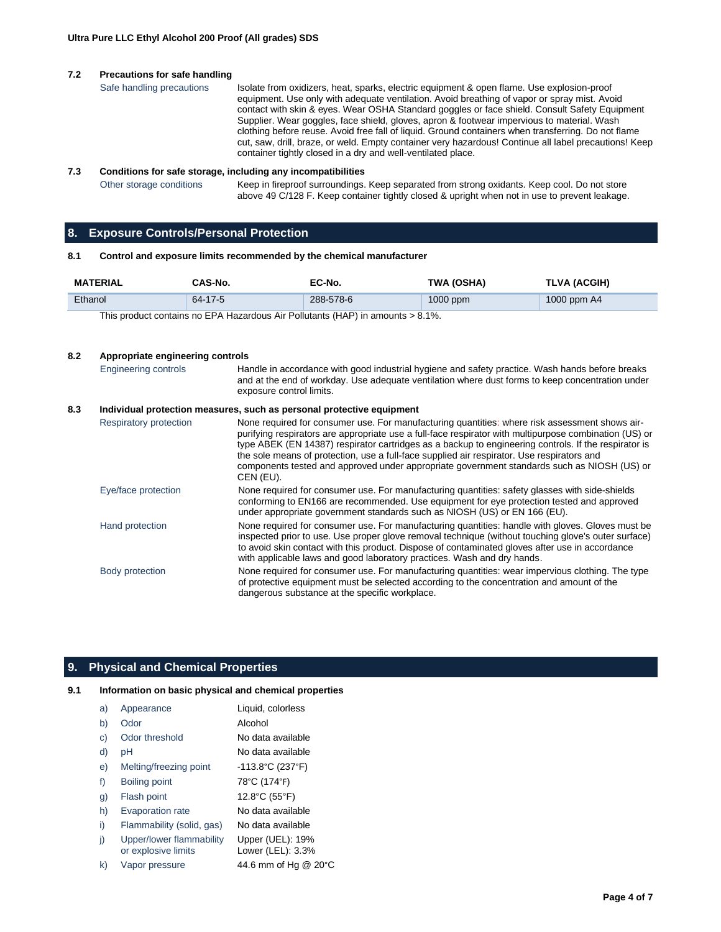## **7.2 Precautions for safe handling**

```
Safe handling precautions Isolate from oxidizers, heat, sparks, electric equipment & open flame. Use explosion-proof
                     equipment. Use only with adequate ventilation. Avoid breathing of vapor or spray mist. Avoid 
                    contact with skin & eyes. Wear OSHA Standard goggles or face shield. Consult Safety Equipment 
                     Supplier. Wear goggles, face shield, gloves, apron & footwear impervious to material. Wash 
                     clothing before reuse. Avoid free fall of liquid. Ground containers when transferring. Do not flame 
                    cut, saw, drill, braze, or weld. Empty container very hazardous! Continue all label precautions! Keep 
                    container tightly closed in a dry and well-ventilated place.
```
### **7.3 Conditions for safe storage, including any incompatibilities**

Other storage conditions Keep in fireproof surroundings. Keep separated from strong oxidants. Keep cool. Do not store above 49 C/128 F. Keep container tightly closed & upright when not in use to prevent leakage.

## **8. Exposure Controls/Personal Protection**

## **8.1 Control and exposure limits recommended by the chemical manufacturer**

| <b>MATERIAL</b>                                                                    | CAS-No. | EC-No.    | <b>TWA (OSHA)</b> | TLVA (ACGIH)  |
|------------------------------------------------------------------------------------|---------|-----------|-------------------|---------------|
| Ethanol                                                                            | 64-17-5 | 288-578-6 | $1000$ ppm        | 1000 ppm $AA$ |
| This product contains no EDA Hazardous Air Pollutants (HAD) in amounts $\lt 8.1\%$ |         |           |                   |               |

product contains no EPA Hazardous Air Pollutants (HAP) in amounts > 8.1%.

## **8.2 Appropriate engineering controls** Engineering controls Handle in accordance with good industrial hygiene and safety practice. Wash hands before breaks and at the end of workday. Use adequate ventilation where dust forms to keep concentration under exposure control limits. **8.3 Individual protection measures, such as personal protective equipment** Respiratory protection None required for consumer use. For manufacturing quantities: where risk assessment shows airpurifying respirators are appropriate use a full-face respirator with multipurpose combination (US) or type ABEK (EN 14387) respirator cartridges as a backup to engineering controls. If the respirator is the sole means of protection, use a full-face supplied air respirator. Use respirators and components tested and approved under appropriate government standards such as NIOSH (US) or CEN (EU). Eye/face protection None required for consumer use. For manufacturing quantities: safety glasses with side-shields conforming to EN166 are recommended. Use equipment for eye protection tested and approved under appropriate government standards such as NIOSH (US) or EN 166 (EU). Hand protection None required for consumer use. For manufacturing quantities: handle with gloves. Gloves must be inspected prior to use. Use proper glove removal technique (without touching glove's outer surface) to avoid skin contact with this product. Dispose of contaminated gloves after use in accordance with applicable laws and good laboratory practices. Wash and dry hands. Body protection None required for consumer use. For manufacturing quantities: wear impervious clothing. The type of protective equipment must be selected according to the concentration and amount of the dangerous substance at the specific workplace.

## **9. Physical and Chemical Properties**

## **9.1 Information on basic physical and chemical properties**

| a) | Appearance                                      | Liquid, colorless                     |
|----|-------------------------------------------------|---------------------------------------|
| b) | Odor                                            | Alcohol                               |
| C) | Odor threshold                                  | No data available                     |
| d) | рH                                              | No data available                     |
| e) | Melting/freezing point                          | $-113.8^{\circ}$ C (237 $^{\circ}$ F) |
| f) | Boiling point                                   | 78°C (174°F)                          |
| g) | Flash point                                     | 12.8°C (55°F)                         |
| h) | <b>Evaporation rate</b>                         | No data available                     |
| i) | Flammability (solid, gas)                       | No data available                     |
| j) | Upper/lower flammability<br>or explosive limits | Upper (UEL): 19%<br>Lower (LEL): 3.3% |
| k) | Vapor pressure                                  | 44.6 mm of Hg @ 20°C                  |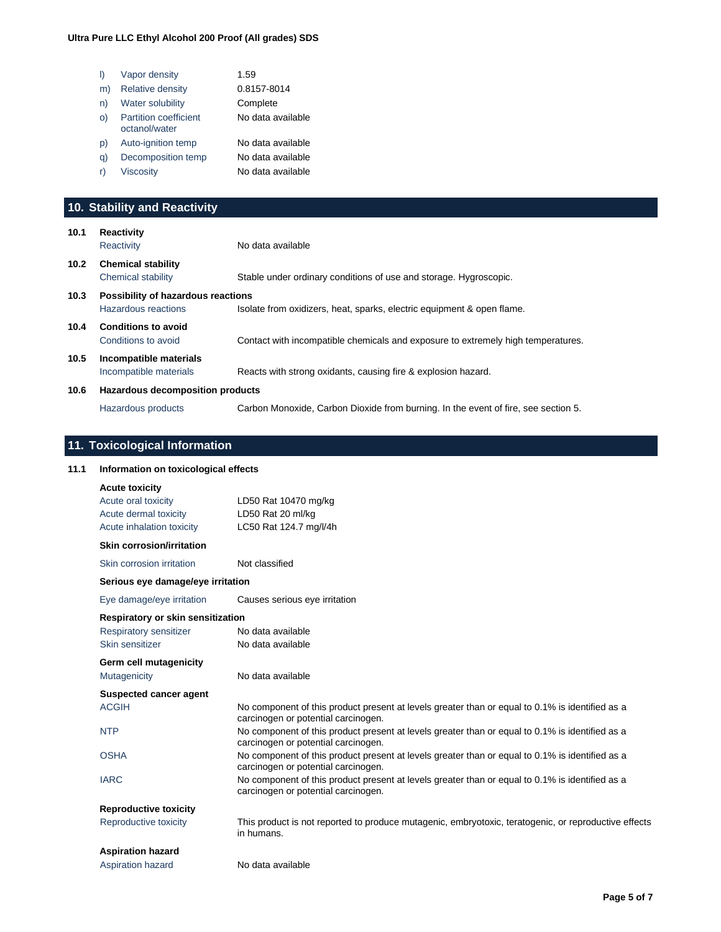| I)      | Vapor density                                 | 1.59              |
|---------|-----------------------------------------------|-------------------|
| m)      | <b>Relative density</b>                       | 0.8157-8014       |
| n)      | <b>Water solubility</b>                       | Complete          |
| $\circ$ | <b>Partition coefficient</b><br>octanol/water | No data available |
| D)      | Auto-ignition temp                            | No data available |
| q)      | Decomposition temp                            | No data available |
| r)      | Viscosity                                     | No data available |
|         |                                               |                   |

# **10. Stability and Reactivity**

| 10.1 | <b>Reactivity</b><br>Reactivity                           | No data available                                                                  |
|------|-----------------------------------------------------------|------------------------------------------------------------------------------------|
| 10.2 | <b>Chemical stability</b><br>Chemical stability           | Stable under ordinary conditions of use and storage. Hygroscopic.                  |
| 10.3 | Possibility of hazardous reactions<br>Hazardous reactions | Isolate from oxidizers, heat, sparks, electric equipment & open flame.             |
| 10.4 | <b>Conditions to avoid</b><br>Conditions to avoid         | Contact with incompatible chemicals and exposure to extremely high temperatures.   |
| 10.5 | Incompatible materials<br>Incompatible materials          | Reacts with strong oxidants, causing fire & explosion hazard.                      |
| 10.6 | Hazardous decomposition products                          |                                                                                    |
|      | Hazardous products                                        | Carbon Monoxide, Carbon Dioxide from burning. In the event of fire, see section 5. |

# **11. Toxicological Information**

| 11.1 | Information on toxicological effects                                                               |                                                                                                                                        |
|------|----------------------------------------------------------------------------------------------------|----------------------------------------------------------------------------------------------------------------------------------------|
|      | <b>Acute toxicity</b><br>Acute oral toxicity<br>Acute dermal toxicity<br>Acute inhalation toxicity | LD50 Rat 10470 mg/kg<br>LD50 Rat 20 ml/kg<br>LC50 Rat 124.7 mg/l/4h                                                                    |
|      | <b>Skin corrosion/irritation</b>                                                                   |                                                                                                                                        |
|      | Skin corrosion irritation                                                                          | Not classified                                                                                                                         |
|      | Serious eye damage/eye irritation                                                                  |                                                                                                                                        |
|      | Eye damage/eye irritation                                                                          | Causes serious eye irritation                                                                                                          |
|      | Respiratory or skin sensitization<br>Respiratory sensitizer<br>Skin sensitizer                     | No data available<br>No data available                                                                                                 |
|      | Germ cell mutagenicity                                                                             |                                                                                                                                        |
|      | Mutagenicity                                                                                       | No data available                                                                                                                      |
|      | <b>Suspected cancer agent</b>                                                                      |                                                                                                                                        |
|      | <b>ACGIH</b>                                                                                       | No component of this product present at levels greater than or equal to 0.1% is identified as a<br>carcinogen or potential carcinogen. |
|      | <b>NTP</b>                                                                                         | No component of this product present at levels greater than or equal to 0.1% is identified as a<br>carcinogen or potential carcinogen. |
|      | <b>OSHA</b>                                                                                        | No component of this product present at levels greater than or equal to 0.1% is identified as a<br>carcinogen or potential carcinogen. |
|      | <b>IARC</b>                                                                                        | No component of this product present at levels greater than or equal to 0.1% is identified as a<br>carcinogen or potential carcinogen. |
|      | <b>Reproductive toxicity</b>                                                                       |                                                                                                                                        |
|      | Reproductive toxicity                                                                              | This product is not reported to produce mutagenic, embryotoxic, teratogenic, or reproductive effects<br>in humans.                     |
|      | <b>Aspiration hazard</b>                                                                           |                                                                                                                                        |
|      | Aspiration hazard                                                                                  | No data available                                                                                                                      |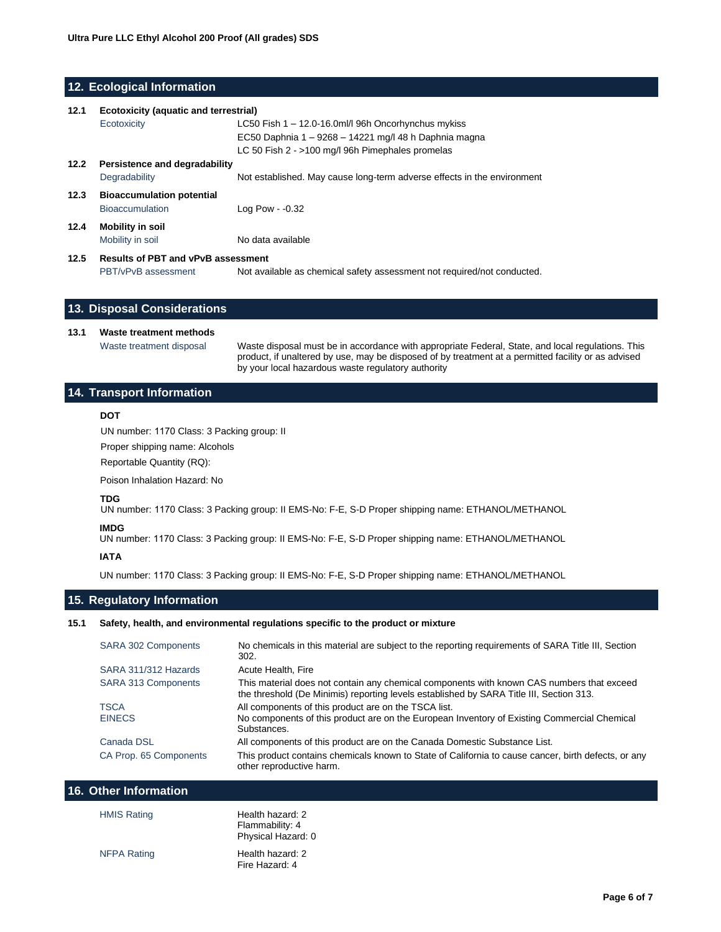## **12. Ecological Information**

| 12.1                                     | <b>Ecotoxicity (aquatic and terrestrial)</b> |                                                                         |
|------------------------------------------|----------------------------------------------|-------------------------------------------------------------------------|
|                                          | Ecotoxicity                                  | LC50 Fish $1 - 12.0 - 16.0$ ml/l 96h Oncorhynchus mykiss                |
|                                          |                                              | EC50 Daphnia 1 - 9268 - 14221 mg/l 48 h Daphnia magna                   |
|                                          |                                              | LC 50 Fish 2 - >100 mg/l 96h Pimephales promelas                        |
| 12.2                                     | Persistence and degradability                |                                                                         |
|                                          | Degradability                                | Not established. May cause long-term adverse effects in the environment |
| 12.3<br><b>Bioaccumulation potential</b> |                                              |                                                                         |
|                                          | <b>Bioaccumulation</b>                       | Log Pow $-0.32$                                                         |
| 12.4                                     | Mobility in soil                             |                                                                         |
|                                          | Mobility in soil                             | No data available                                                       |
| 12.5                                     | <b>Results of PBT and vPvB assessment</b>    |                                                                         |

PBT/vPvB assessment Not available as chemical safety assessment not required/not conducted.

## **13. Disposal Considerations**

## **13.1 Waste treatment methods**

Waste treatment disposal Waste disposal must be in accordance with appropriate Federal, State, and local regulations. This product, if unaltered by use, may be disposed of by treatment at a permitted facility or as advised by your local hazardous waste regulatory authority

## **14. Transport Information**

## **DOT**

UN number: 1170 Class: 3 Packing group: II

Proper shipping name: Alcohols

Reportable Quantity (RQ):

Poison Inhalation Hazard: No

## **TDG**

UN number: 1170 Class: 3 Packing group: II EMS-No: F-E, S-D Proper shipping name: ETHANOL/METHANOL

## **IMDG**

UN number: 1170 Class: 3 Packing group: II EMS-No: F-E, S-D Proper shipping name: ETHANOL/METHANOL

## **IATA**

UN number: 1170 Class: 3 Packing group: II EMS-No: F-E, S-D Proper shipping name: ETHANOL/METHANOL

## **15. Regulatory Information**

## **15.1 Safety, health, and environmental regulations specific to the product or mixture**

| <b>SARA 302 Components</b> | No chemicals in this material are subject to the reporting requirements of SARA Title III, Section<br>302.                                                                           |
|----------------------------|--------------------------------------------------------------------------------------------------------------------------------------------------------------------------------------|
| SARA 311/312 Hazards       | Acute Health, Fire                                                                                                                                                                   |
| <b>SARA 313 Components</b> | This material does not contain any chemical components with known CAS numbers that exceed<br>the threshold (De Minimis) reporting levels established by SARA Title III, Section 313. |
| <b>TSCA</b>                | All components of this product are on the TSCA list.                                                                                                                                 |
| <b>EINECS</b>              | No components of this product are on the European Inventory of Existing Commercial Chemical<br>Substances.                                                                           |
| Canada DSL                 | All components of this product are on the Canada Domestic Substance List.                                                                                                            |
| CA Prop. 65 Components     | This product contains chemicals known to State of California to cause cancer, birth defects, or any<br>other reproductive harm.                                                      |

## **16. Other Information**

| <b>HMIS Rating</b> | Health hazard: 2<br>Flammability: 4<br>Physical Hazard: 0 |
|--------------------|-----------------------------------------------------------|
| <b>NFPA Rating</b> | Health hazard: 2<br>Fire Hazard: 4                        |